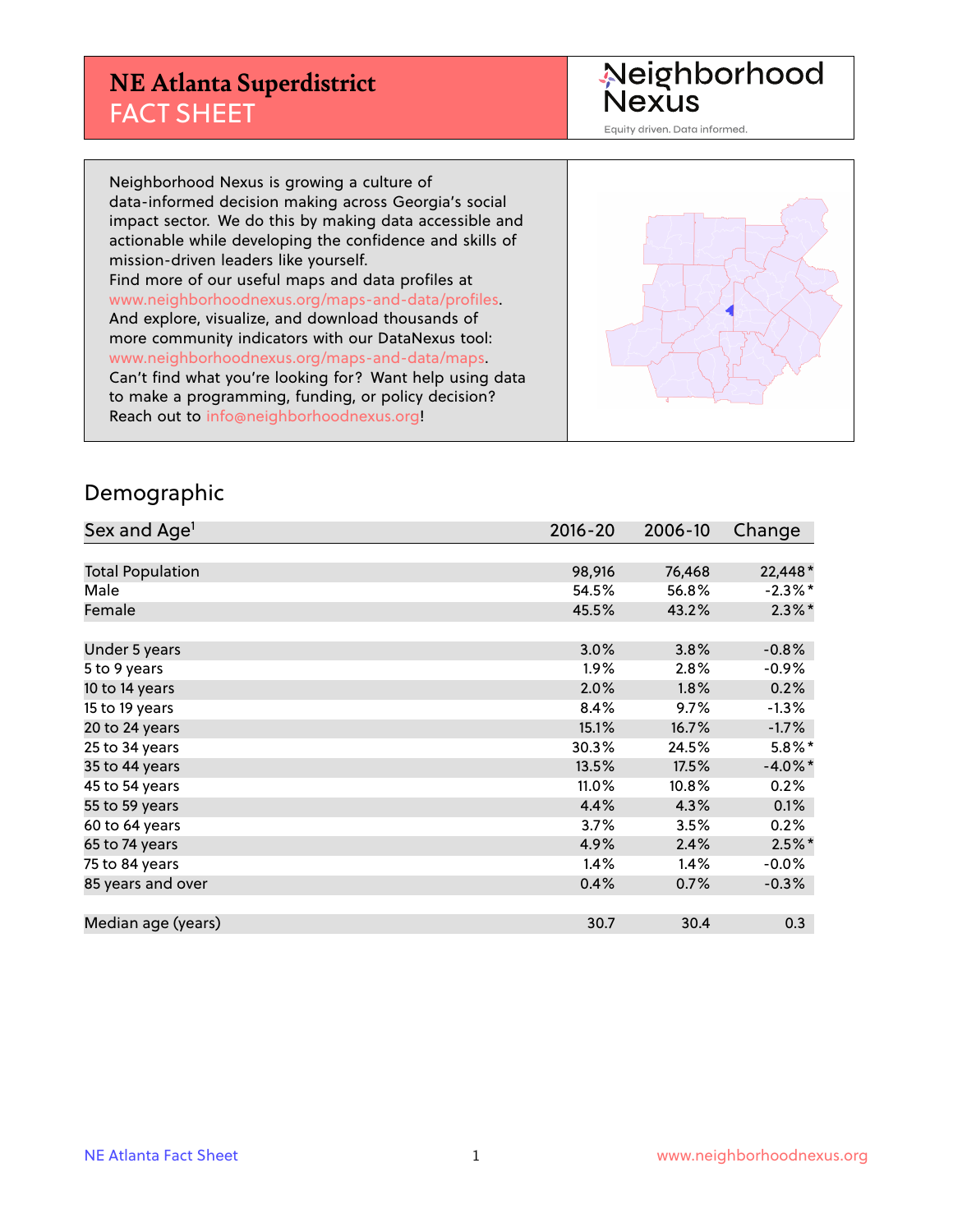### **NE Atlanta Superdistrict** FACT SHEET

Neighborhood<br>Nexus

Equity driven. Data informed.

Neighborhood Nexus is growing a culture of data-informed decision making across Georgia's social impact sector. We do this by making data accessible and actionable while developing the confidence and skills of mission-driven leaders like yourself. Find more of our useful maps and data profiles at www.neighborhoodnexus.org/maps-and-data/profiles. And explore, visualize, and download thousands of more community indicators with our DataNexus tool: www.neighborhoodnexus.org/maps-and-data/maps. Can't find what you're looking for? Want help using data to make a programming, funding, or policy decision? Reach out to [info@neighborhoodnexus.org!](mailto:info@neighborhoodnexus.org)



#### Demographic

| Sex and Age <sup>1</sup> | $2016 - 20$ | 2006-10 | Change     |
|--------------------------|-------------|---------|------------|
|                          |             |         |            |
| <b>Total Population</b>  | 98,916      | 76,468  | 22,448*    |
| Male                     | 54.5%       | 56.8%   | $-2.3\%$ * |
| Female                   | 45.5%       | 43.2%   | $2.3\%$ *  |
|                          |             |         |            |
| Under 5 years            | 3.0%        | 3.8%    | $-0.8%$    |
| 5 to 9 years             | 1.9%        | 2.8%    | $-0.9\%$   |
| 10 to 14 years           | 2.0%        | 1.8%    | 0.2%       |
| 15 to 19 years           | 8.4%        | 9.7%    | $-1.3\%$   |
| 20 to 24 years           | 15.1%       | 16.7%   | $-1.7%$    |
| 25 to 34 years           | 30.3%       | 24.5%   | $5.8\%$ *  |
| 35 to 44 years           | 13.5%       | 17.5%   | $-4.0\%$ * |
| 45 to 54 years           | 11.0%       | 10.8%   | 0.2%       |
| 55 to 59 years           | 4.4%        | 4.3%    | 0.1%       |
| 60 to 64 years           | 3.7%        | 3.5%    | 0.2%       |
| 65 to 74 years           | 4.9%        | 2.4%    | $2.5%$ *   |
| 75 to 84 years           | 1.4%        | 1.4%    | $-0.0%$    |
| 85 years and over        | 0.4%        | 0.7%    | $-0.3%$    |
|                          |             |         |            |
| Median age (years)       | 30.7        | 30.4    | 0.3        |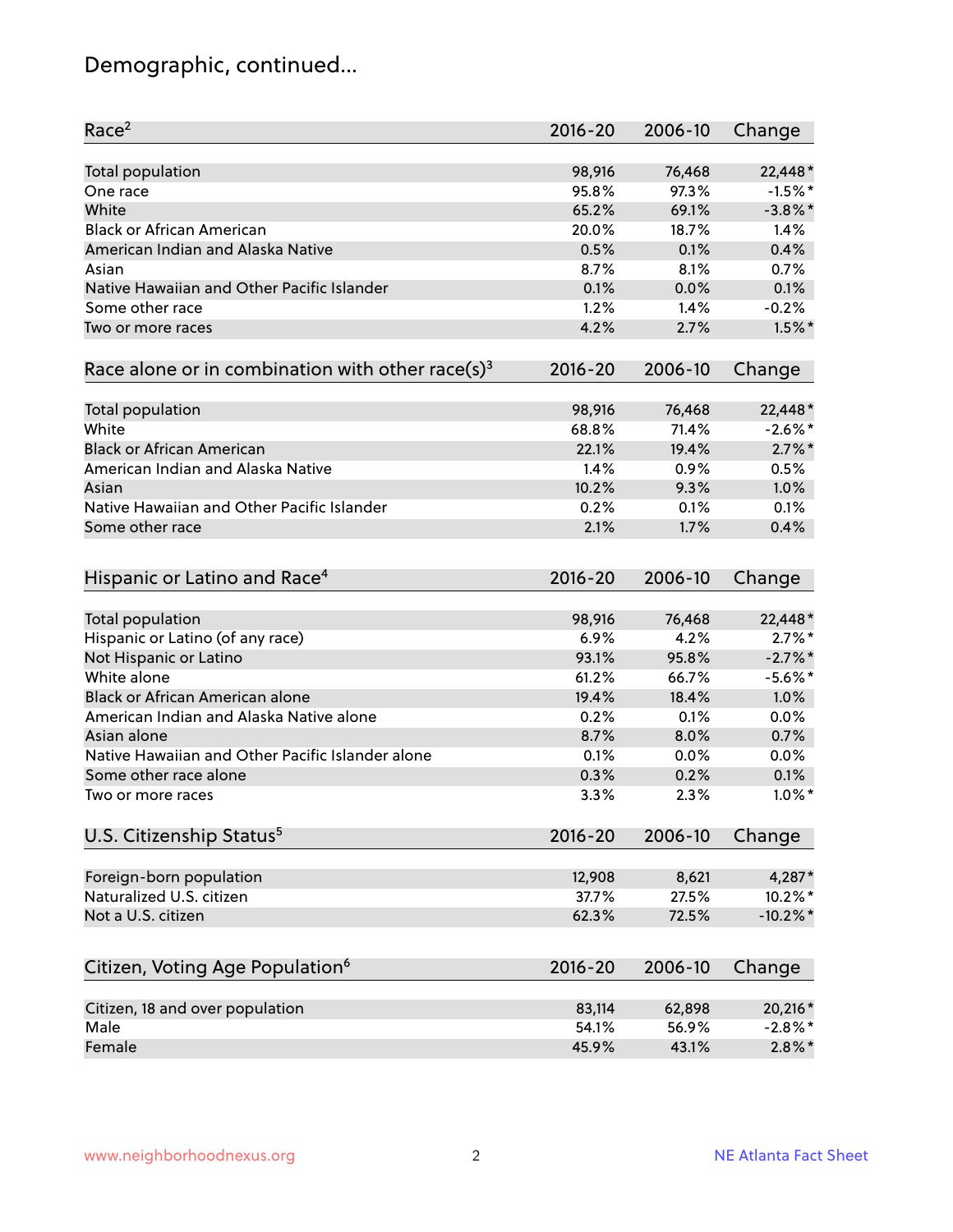# Demographic, continued...

| Race <sup>2</sup>                                            | $2016 - 20$ | 2006-10 | Change      |
|--------------------------------------------------------------|-------------|---------|-------------|
| <b>Total population</b>                                      | 98,916      | 76,468  | 22,448*     |
| One race                                                     | 95.8%       | 97.3%   | $-1.5%$ *   |
| White                                                        | 65.2%       | 69.1%   | $-3.8\%$ *  |
| <b>Black or African American</b>                             | 20.0%       | 18.7%   | 1.4%        |
| American Indian and Alaska Native                            | 0.5%        | 0.1%    | 0.4%        |
| Asian                                                        | 8.7%        | 8.1%    | 0.7%        |
| Native Hawaiian and Other Pacific Islander                   | 0.1%        | 0.0%    | 0.1%        |
| Some other race                                              | 1.2%        | 1.4%    | $-0.2%$     |
| Two or more races                                            | 4.2%        | 2.7%    | $1.5\%$ *   |
| Race alone or in combination with other race(s) <sup>3</sup> | $2016 - 20$ | 2006-10 | Change      |
|                                                              |             |         |             |
| Total population                                             | 98,916      | 76,468  | 22,448*     |
| White                                                        | 68.8%       | 71.4%   | $-2.6\%$ *  |
| <b>Black or African American</b>                             | 22.1%       | 19.4%   | $2.7\%$ *   |
| American Indian and Alaska Native                            | 1.4%        | 0.9%    | 0.5%        |
| Asian                                                        | 10.2%       | 9.3%    | 1.0%        |
| Native Hawaiian and Other Pacific Islander                   | 0.2%        | 0.1%    | 0.1%        |
| Some other race                                              | 2.1%        | 1.7%    | 0.4%        |
| Hispanic or Latino and Race <sup>4</sup>                     | $2016 - 20$ | 2006-10 | Change      |
| Total population                                             | 98,916      | 76,468  | 22,448*     |
| Hispanic or Latino (of any race)                             | 6.9%        | 4.2%    | $2.7\%$ *   |
| Not Hispanic or Latino                                       | 93.1%       | 95.8%   | $-2.7\%$ *  |
| White alone                                                  | 61.2%       | 66.7%   | $-5.6\%$ *  |
| Black or African American alone                              | 19.4%       | 18.4%   | 1.0%        |
| American Indian and Alaska Native alone                      | 0.2%        | 0.1%    | 0.0%        |
| Asian alone                                                  | 8.7%        | 8.0%    | 0.7%        |
| Native Hawaiian and Other Pacific Islander alone             | 0.1%        | 0.0%    | 0.0%        |
| Some other race alone                                        | 0.3%        | 0.2%    | 0.1%        |
| Two or more races                                            | 3.3%        | 2.3%    | $1.0\%$ *   |
|                                                              |             |         |             |
| U.S. Citizenship Status <sup>5</sup>                         | $2016 - 20$ | 2006-10 | Change      |
| Foreign-born population                                      | 12,908      | 8,621   | 4,287*      |
| Naturalized U.S. citizen                                     | 37.7%       | 27.5%   | 10.2%*      |
| Not a U.S. citizen                                           | 62.3%       | 72.5%   | $-10.2\%$ * |
|                                                              |             |         |             |
| Citizen, Voting Age Population <sup>6</sup>                  | $2016 - 20$ | 2006-10 | Change      |
| Citizen, 18 and over population                              | 83,114      | 62,898  | 20,216*     |
| Male                                                         | 54.1%       | 56.9%   | $-2.8\%$ *  |
| Female                                                       | 45.9%       | 43.1%   | $2.8\%$ *   |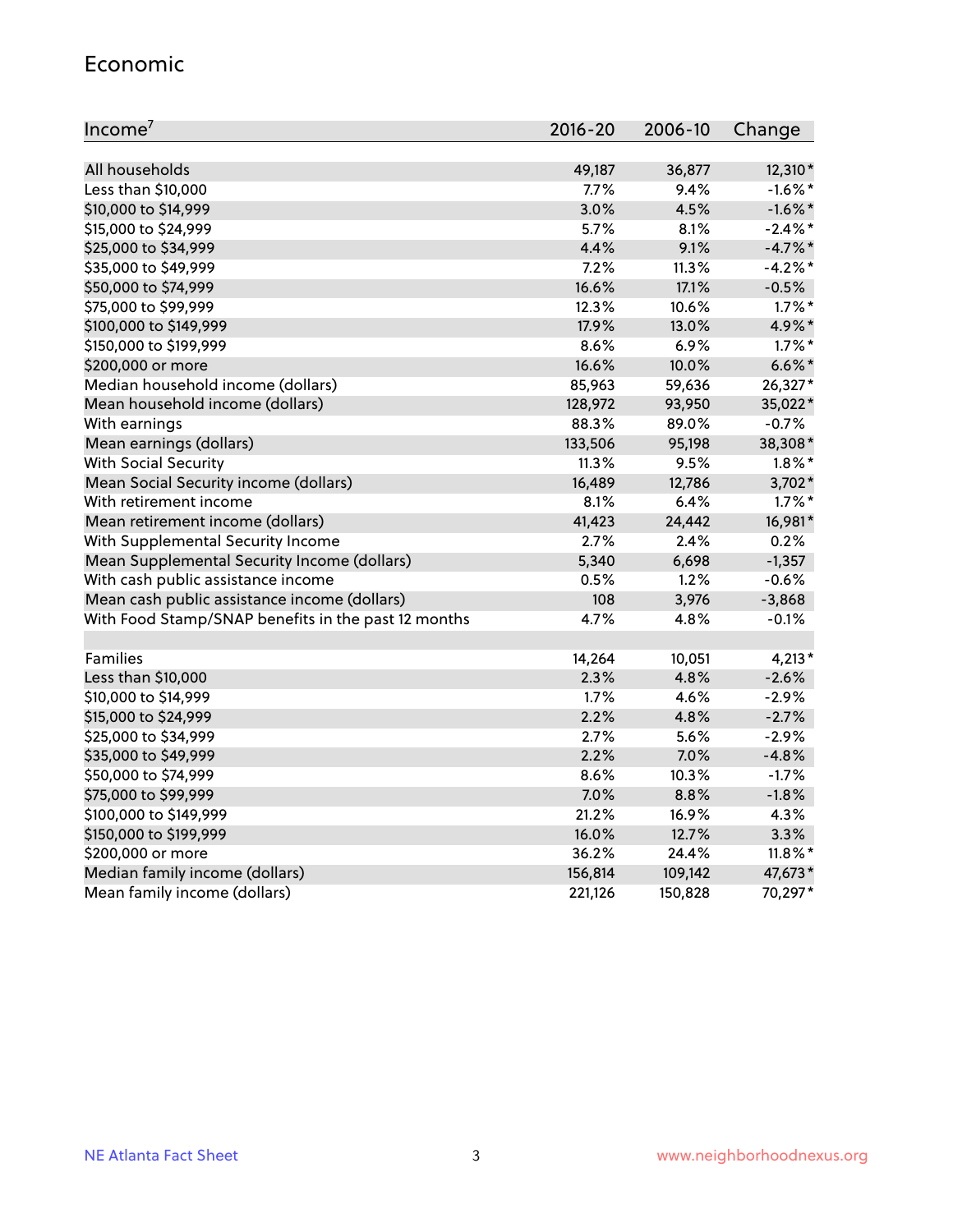#### Economic

| Income <sup>7</sup>                                 | $2016 - 20$ | 2006-10 | Change     |
|-----------------------------------------------------|-------------|---------|------------|
|                                                     |             |         |            |
| All households                                      | 49,187      | 36,877  | 12,310*    |
| Less than \$10,000                                  | $7.7\%$     | 9.4%    | $-1.6\%$ * |
| \$10,000 to \$14,999                                | 3.0%        | 4.5%    | $-1.6\%$ * |
| \$15,000 to \$24,999                                | 5.7%        | 8.1%    | $-2.4\%$ * |
| \$25,000 to \$34,999                                | 4.4%        | 9.1%    | $-4.7%$ *  |
| \$35,000 to \$49,999                                | 7.2%        | 11.3%   | $-4.2%$ *  |
| \$50,000 to \$74,999                                | 16.6%       | 17.1%   | $-0.5%$    |
| \$75,000 to \$99,999                                | 12.3%       | 10.6%   | $1.7\%$ *  |
| \$100,000 to \$149,999                              | 17.9%       | 13.0%   | 4.9%*      |
| \$150,000 to \$199,999                              | 8.6%        | 6.9%    | $1.7\%$ *  |
| \$200,000 or more                                   | 16.6%       | 10.0%   | $6.6\%$ *  |
| Median household income (dollars)                   | 85,963      | 59,636  | 26,327*    |
| Mean household income (dollars)                     | 128,972     | 93,950  | 35,022*    |
| With earnings                                       | 88.3%       | 89.0%   | $-0.7%$    |
| Mean earnings (dollars)                             | 133,506     | 95,198  | 38,308*    |
| <b>With Social Security</b>                         | 11.3%       | 9.5%    | $1.8\%$ *  |
| Mean Social Security income (dollars)               | 16,489      | 12,786  | 3,702*     |
| With retirement income                              | 8.1%        | 6.4%    | $1.7\%$ *  |
| Mean retirement income (dollars)                    | 41,423      | 24,442  | 16,981*    |
| With Supplemental Security Income                   | 2.7%        | $2.4\%$ | 0.2%       |
| Mean Supplemental Security Income (dollars)         | 5,340       | 6,698   | $-1,357$   |
| With cash public assistance income                  | 0.5%        | 1.2%    | $-0.6%$    |
| Mean cash public assistance income (dollars)        | 108         | 3,976   | $-3,868$   |
| With Food Stamp/SNAP benefits in the past 12 months | 4.7%        | 4.8%    | $-0.1%$    |
|                                                     |             |         |            |
| Families                                            | 14,264      | 10,051  | $4,213*$   |
| Less than \$10,000                                  | 2.3%        | 4.8%    | $-2.6%$    |
| \$10,000 to \$14,999                                | 1.7%        | 4.6%    | $-2.9%$    |
| \$15,000 to \$24,999                                | 2.2%        | 4.8%    | $-2.7%$    |
| \$25,000 to \$34,999                                | 2.7%        | 5.6%    | $-2.9%$    |
| \$35,000 to \$49,999                                | 2.2%        | 7.0%    | $-4.8%$    |
| \$50,000 to \$74,999                                | 8.6%        | 10.3%   | $-1.7%$    |
| \$75,000 to \$99,999                                | 7.0%        | 8.8%    | $-1.8%$    |
| \$100,000 to \$149,999                              | 21.2%       | 16.9%   | 4.3%       |
| \$150,000 to \$199,999                              | 16.0%       | 12.7%   | 3.3%       |
| \$200,000 or more                                   | 36.2%       | 24.4%   | $11.8\%$ * |
| Median family income (dollars)                      | 156,814     | 109,142 | 47,673*    |
| Mean family income (dollars)                        | 221,126     | 150,828 | 70,297*    |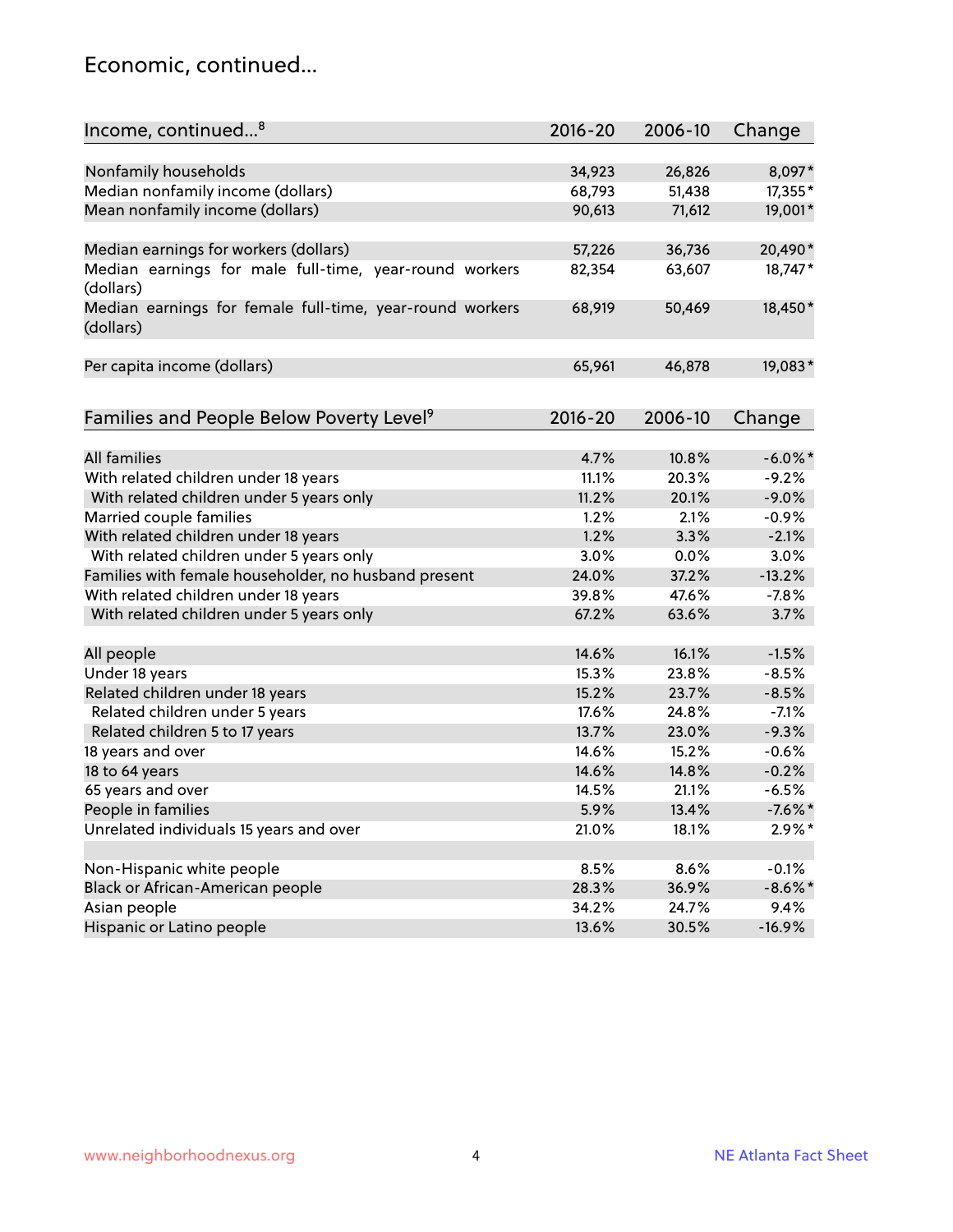#### Economic, continued...

| Income, continued <sup>8</sup>                                        | $2016 - 20$ | 2006-10 | Change     |
|-----------------------------------------------------------------------|-------------|---------|------------|
|                                                                       |             |         |            |
| Nonfamily households                                                  | 34,923      | 26,826  | 8,097*     |
| Median nonfamily income (dollars)                                     | 68,793      | 51,438  | 17,355*    |
| Mean nonfamily income (dollars)                                       | 90,613      | 71,612  | 19,001*    |
| Median earnings for workers (dollars)                                 | 57,226      | 36,736  | 20,490*    |
| Median earnings for male full-time, year-round workers                | 82,354      | 63,607  | 18,747*    |
| (dollars)                                                             |             |         |            |
| Median earnings for female full-time, year-round workers<br>(dollars) | 68,919      | 50,469  | 18,450*    |
| Per capita income (dollars)                                           | 65,961      | 46,878  | 19,083*    |
|                                                                       |             |         |            |
| Families and People Below Poverty Level <sup>9</sup>                  | 2016-20     | 2006-10 | Change     |
| All families                                                          |             | 10.8%   |            |
|                                                                       | 4.7%        |         | $-6.0\%$ * |
| With related children under 18 years                                  | 11.1%       | 20.3%   | $-9.2%$    |
| With related children under 5 years only                              | 11.2%       | 20.1%   | $-9.0%$    |
| Married couple families                                               | 1.2%        | 2.1%    | $-0.9%$    |
| With related children under 18 years                                  | 1.2%        | 3.3%    | $-2.1%$    |
| With related children under 5 years only                              | 3.0%        | 0.0%    | 3.0%       |
| Families with female householder, no husband present                  | 24.0%       | 37.2%   | $-13.2%$   |
| With related children under 18 years                                  | 39.8%       | 47.6%   | $-7.8%$    |
| With related children under 5 years only                              | 67.2%       | 63.6%   | 3.7%       |
| All people                                                            | 14.6%       | 16.1%   | $-1.5%$    |
| Under 18 years                                                        | 15.3%       | 23.8%   | $-8.5%$    |
| Related children under 18 years                                       | 15.2%       | 23.7%   | $-8.5%$    |
| Related children under 5 years                                        | 17.6%       | 24.8%   | $-7.1%$    |
| Related children 5 to 17 years                                        | 13.7%       | 23.0%   | $-9.3%$    |
| 18 years and over                                                     | 14.6%       | 15.2%   | $-0.6%$    |
| 18 to 64 years                                                        | 14.6%       | 14.8%   | $-0.2%$    |
| 65 years and over                                                     | 14.5%       | 21.1%   | $-6.5%$    |
| People in families                                                    | 5.9%        | 13.4%   | $-7.6%$ *  |
| Unrelated individuals 15 years and over                               | 21.0%       | 18.1%   | $2.9\%*$   |
|                                                                       |             |         |            |
| Non-Hispanic white people                                             | 8.5%        | 8.6%    | $-0.1%$    |
| Black or African-American people                                      | 28.3%       | 36.9%   | $-8.6\%$ * |
| Asian people                                                          | 34.2%       | 24.7%   | 9.4%       |
| Hispanic or Latino people                                             | 13.6%       | 30.5%   | $-16.9%$   |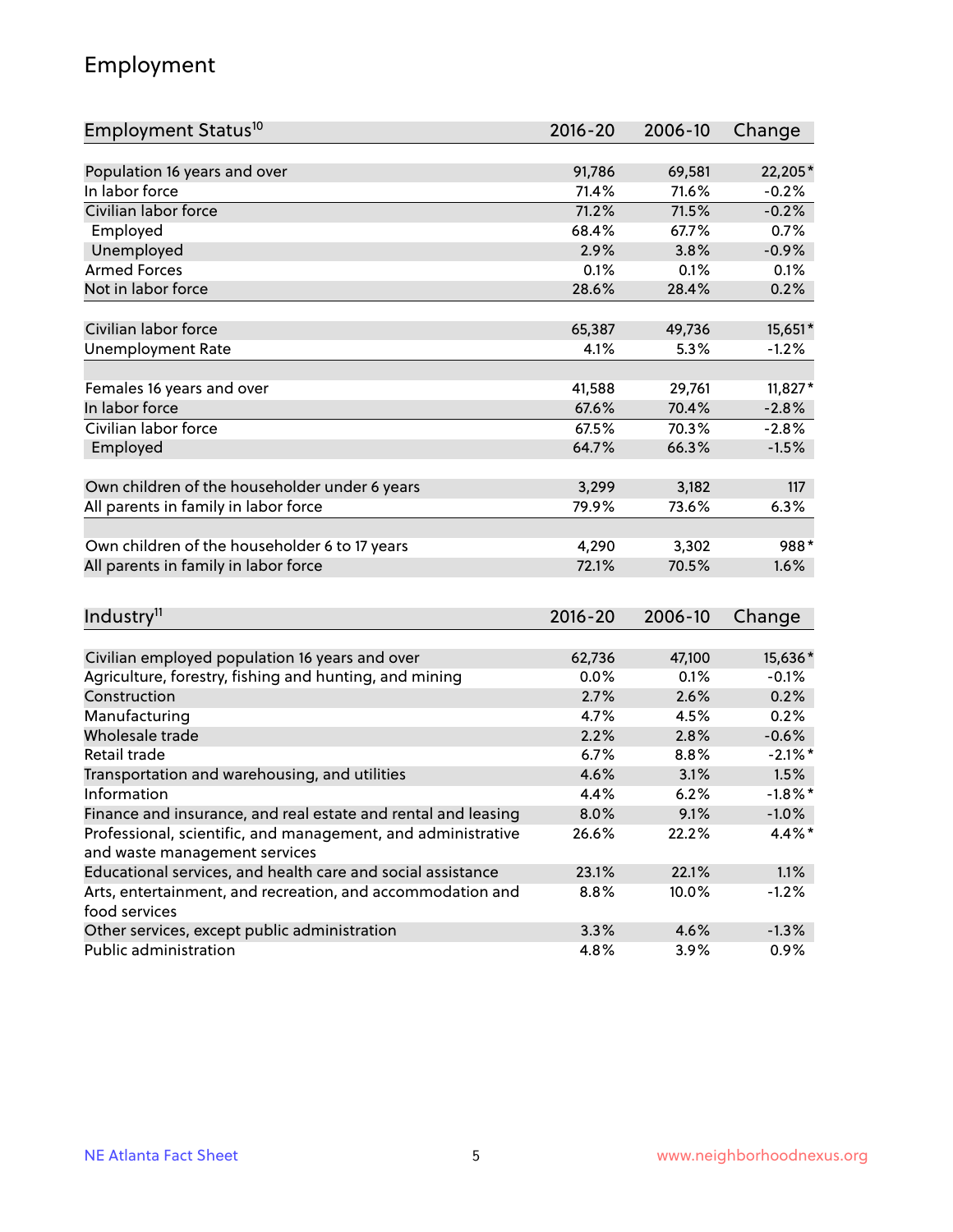# Employment

| Employment Status <sup>10</sup>                                             | $2016 - 20$ | 2006-10 | Change     |
|-----------------------------------------------------------------------------|-------------|---------|------------|
|                                                                             |             |         |            |
| Population 16 years and over                                                | 91,786      | 69,581  | 22,205*    |
| In labor force                                                              | 71.4%       | 71.6%   | $-0.2%$    |
| Civilian labor force                                                        | 71.2%       | 71.5%   | $-0.2%$    |
| Employed                                                                    | 68.4%       | 67.7%   | 0.7%       |
| Unemployed                                                                  | 2.9%        | 3.8%    | $-0.9%$    |
| <b>Armed Forces</b>                                                         | 0.1%        | 0.1%    | 0.1%       |
| Not in labor force                                                          | 28.6%       | 28.4%   | 0.2%       |
|                                                                             |             |         |            |
| Civilian labor force                                                        | 65,387      | 49,736  | 15,651*    |
| <b>Unemployment Rate</b>                                                    | 4.1%        | 5.3%    | $-1.2%$    |
| Females 16 years and over                                                   | 41,588      | 29,761  | $11,827*$  |
| In labor force                                                              | 67.6%       | 70.4%   | $-2.8%$    |
| Civilian labor force                                                        | 67.5%       | 70.3%   | $-2.8%$    |
| Employed                                                                    | 64.7%       | 66.3%   | $-1.5%$    |
|                                                                             |             |         |            |
| Own children of the householder under 6 years                               | 3,299       | 3,182   | 117        |
| All parents in family in labor force                                        | 79.9%       | 73.6%   | 6.3%       |
|                                                                             |             |         |            |
| Own children of the householder 6 to 17 years                               | 4,290       | 3,302   | 988*       |
| All parents in family in labor force                                        | 72.1%       | 70.5%   | 1.6%       |
|                                                                             |             |         |            |
| Industry <sup>11</sup>                                                      | $2016 - 20$ | 2006-10 | Change     |
|                                                                             |             |         |            |
| Civilian employed population 16 years and over                              | 62,736      | 47,100  | 15,636*    |
| Agriculture, forestry, fishing and hunting, and mining                      | 0.0%        | 0.1%    | $-0.1%$    |
| Construction                                                                | 2.7%        | 2.6%    | 0.2%       |
| Manufacturing                                                               | 4.7%        | 4.5%    | 0.2%       |
| Wholesale trade                                                             | 2.2%        | 2.8%    | $-0.6%$    |
| Retail trade                                                                | 6.7%        | 8.8%    | $-2.1\%$ * |
| Transportation and warehousing, and utilities                               | 4.6%        | 3.1%    | 1.5%       |
| Information                                                                 | 4.4%        | 6.2%    | $-1.8\%$ * |
| Finance and insurance, and real estate and rental and leasing               | 8.0%        | 9.1%    | $-1.0\%$   |
| Professional, scientific, and management, and administrative                | 26.6%       | 22.2%   | 4.4%*      |
| and waste management services                                               |             |         |            |
| Educational services, and health care and social assistance                 | 23.1%       | 22.1%   | 1.1%       |
| Arts, entertainment, and recreation, and accommodation and<br>food services | 8.8%        | 10.0%   | $-1.2%$    |
| Other services, except public administration                                | 3.3%        | 4.6%    | $-1.3%$    |
| Public administration                                                       | 4.8%        | 3.9%    | 0.9%       |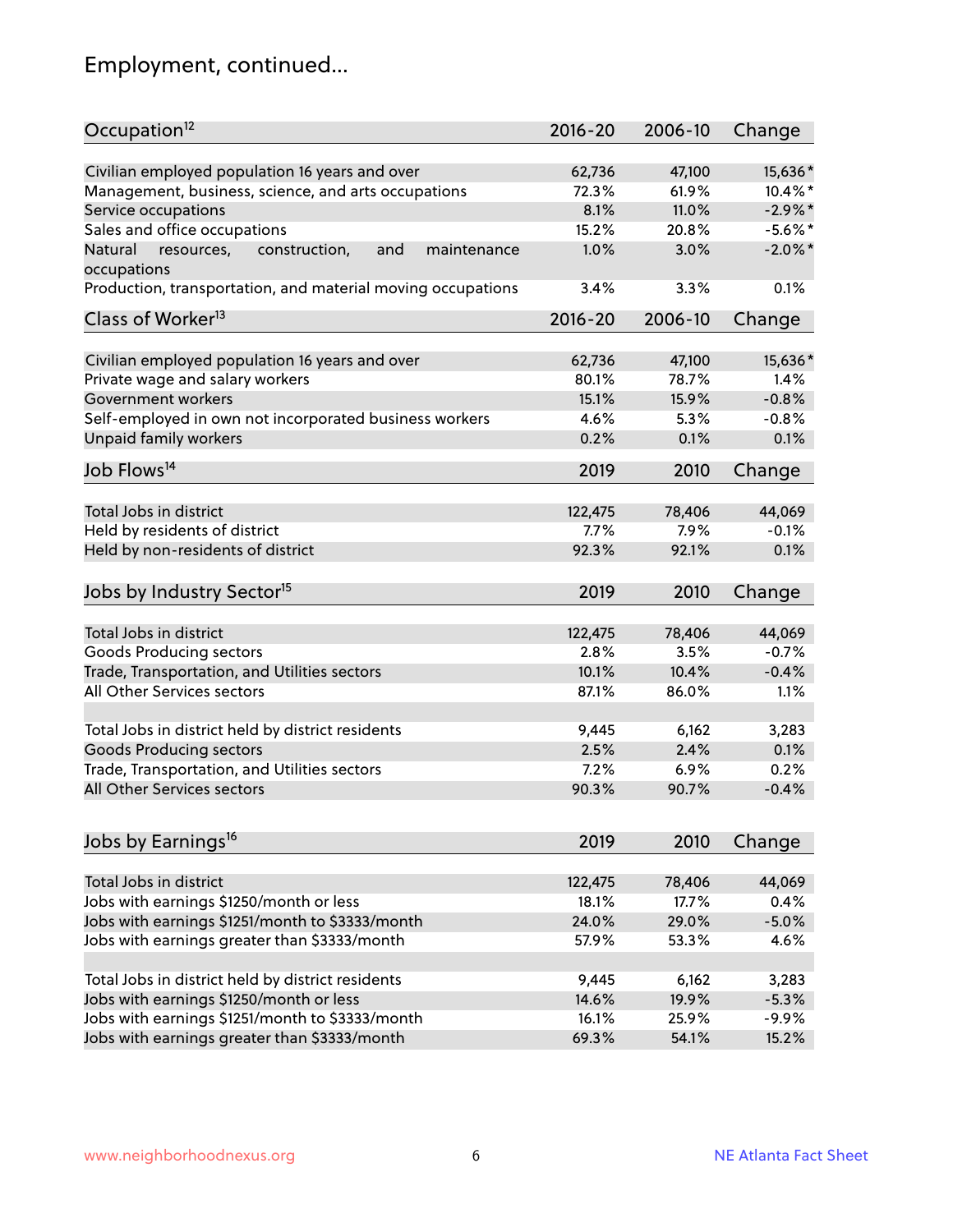# Employment, continued...

| Occupation <sup>12</sup>                                     | $2016 - 20$ | 2006-10 | Change     |
|--------------------------------------------------------------|-------------|---------|------------|
| Civilian employed population 16 years and over               | 62,736      | 47,100  | 15,636*    |
| Management, business, science, and arts occupations          | 72.3%       | 61.9%   | 10.4%*     |
| Service occupations                                          | 8.1%        | 11.0%   | $-2.9%$ *  |
| Sales and office occupations                                 | 15.2%       | 20.8%   | $-5.6\%$ * |
| Natural<br>and<br>resources,<br>construction,<br>maintenance | 1.0%        | 3.0%    | $-2.0\%$ * |
| occupations                                                  |             |         |            |
| Production, transportation, and material moving occupations  | 3.4%        | 3.3%    | 0.1%       |
| Class of Worker <sup>13</sup>                                | $2016 - 20$ | 2006-10 | Change     |
| Civilian employed population 16 years and over               | 62,736      | 47,100  | 15,636*    |
| Private wage and salary workers                              | 80.1%       | 78.7%   | 1.4%       |
| Government workers                                           | 15.1%       | 15.9%   | $-0.8%$    |
| Self-employed in own not incorporated business workers       | 4.6%        | 5.3%    | $-0.8%$    |
| Unpaid family workers                                        | 0.2%        | 0.1%    | 0.1%       |
|                                                              |             |         |            |
| Job Flows <sup>14</sup>                                      | 2019        | 2010    | Change     |
| Total Jobs in district                                       | 122,475     | 78,406  | 44,069     |
| Held by residents of district                                | 7.7%        | 7.9%    | $-0.1%$    |
| Held by non-residents of district                            | 92.3%       | 92.1%   | 0.1%       |
|                                                              |             |         |            |
| Jobs by Industry Sector <sup>15</sup>                        | 2019        | 2010    | Change     |
| Total Jobs in district                                       | 122,475     | 78,406  | 44,069     |
| Goods Producing sectors                                      | 2.8%        | 3.5%    | $-0.7%$    |
| Trade, Transportation, and Utilities sectors                 | 10.1%       | 10.4%   | $-0.4%$    |
| All Other Services sectors                                   | 87.1%       | 86.0%   | 1.1%       |
|                                                              |             |         |            |
| Total Jobs in district held by district residents            | 9,445       | 6,162   | 3,283      |
| <b>Goods Producing sectors</b>                               | 2.5%        | 2.4%    | 0.1%       |
| Trade, Transportation, and Utilities sectors                 | 7.2%        | 6.9%    | 0.2%       |
| All Other Services sectors                                   | 90.3%       | 90.7%   | $-0.4%$    |
|                                                              |             |         |            |
| Jobs by Earnings <sup>16</sup>                               | 2019        | 2010    | Change     |
| Total Jobs in district                                       | 122,475     | 78,406  | 44,069     |
| Jobs with earnings \$1250/month or less                      | 18.1%       | 17.7%   | 0.4%       |
| Jobs with earnings \$1251/month to \$3333/month              | 24.0%       | 29.0%   | $-5.0%$    |
| Jobs with earnings greater than \$3333/month                 | 57.9%       | 53.3%   | 4.6%       |
|                                                              |             |         |            |
| Total Jobs in district held by district residents            | 9,445       | 6,162   | 3,283      |
| Jobs with earnings \$1250/month or less                      | 14.6%       | 19.9%   | $-5.3%$    |
| Jobs with earnings \$1251/month to \$3333/month              | 16.1%       | 25.9%   | $-9.9%$    |
| Jobs with earnings greater than \$3333/month                 | 69.3%       | 54.1%   | 15.2%      |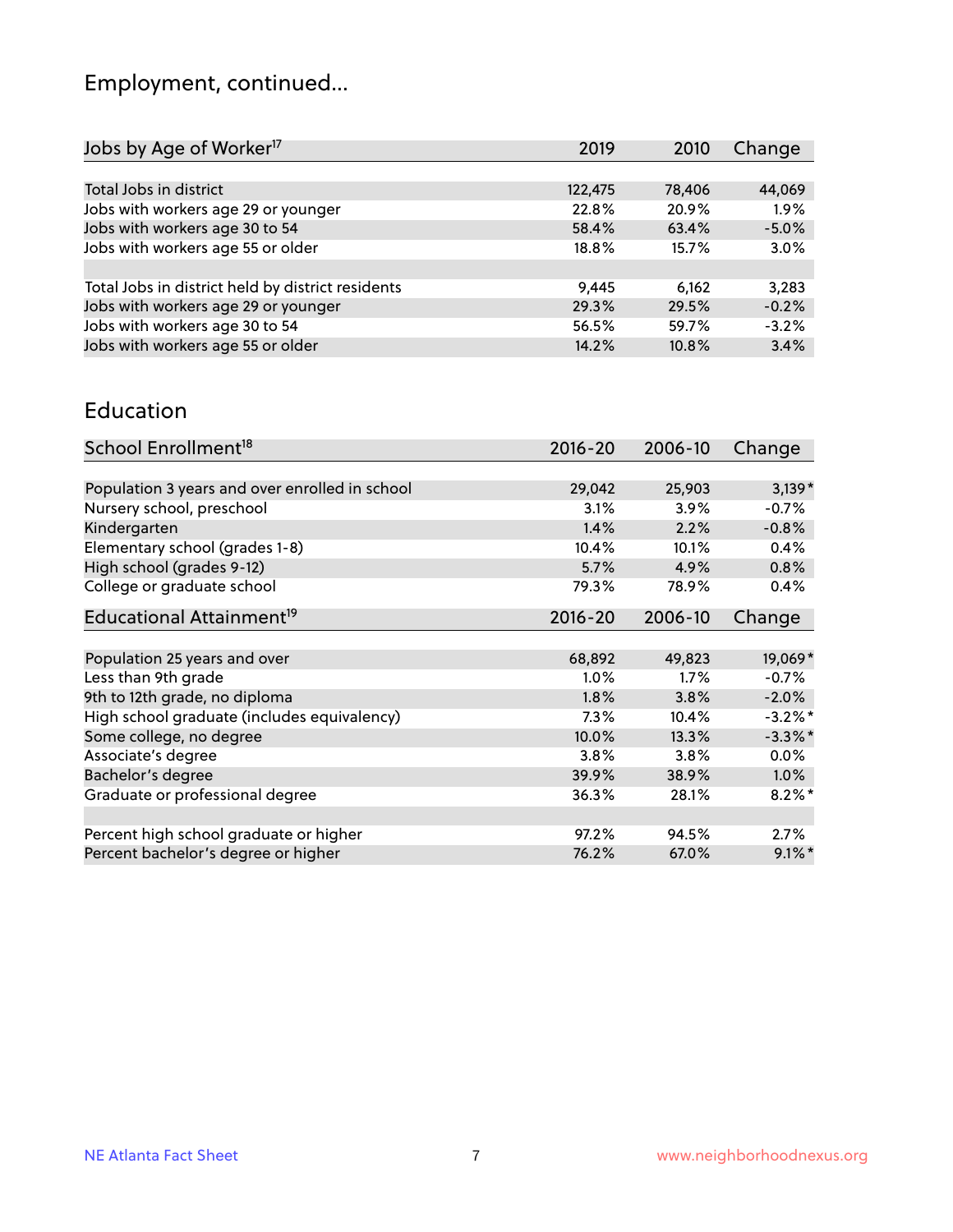# Employment, continued...

| Jobs by Age of Worker <sup>17</sup>               | 2019    | 2010   | Change  |
|---------------------------------------------------|---------|--------|---------|
|                                                   |         |        |         |
| Total Jobs in district                            | 122,475 | 78,406 | 44,069  |
| Jobs with workers age 29 or younger               | 22.8%   | 20.9%  | 1.9%    |
| Jobs with workers age 30 to 54                    | 58.4%   | 63.4%  | $-5.0%$ |
| Jobs with workers age 55 or older                 | 18.8%   | 15.7%  | 3.0%    |
|                                                   |         |        |         |
| Total Jobs in district held by district residents | 9,445   | 6,162  | 3,283   |
| Jobs with workers age 29 or younger               | 29.3%   | 29.5%  | $-0.2%$ |
| Jobs with workers age 30 to 54                    | 56.5%   | 59.7%  | $-3.2%$ |
| Jobs with workers age 55 or older                 | 14.2%   | 10.8%  | 3.4%    |
|                                                   |         |        |         |

#### Education

| School Enrollment <sup>18</sup>                | $2016 - 20$ | 2006-10 | Change     |
|------------------------------------------------|-------------|---------|------------|
|                                                |             |         |            |
| Population 3 years and over enrolled in school | 29,042      | 25,903  | $3,139*$   |
| Nursery school, preschool                      | 3.1%        | $3.9\%$ | $-0.7%$    |
| Kindergarten                                   | 1.4%        | 2.2%    | $-0.8%$    |
| Elementary school (grades 1-8)                 | 10.4%       | 10.1%   | 0.4%       |
| High school (grades 9-12)                      | 5.7%        | 4.9%    | 0.8%       |
| College or graduate school                     | 79.3%       | 78.9%   | 0.4%       |
| Educational Attainment <sup>19</sup>           | $2016 - 20$ | 2006-10 | Change     |
|                                                |             |         |            |
| Population 25 years and over                   | 68,892      | 49,823  | 19,069*    |
| Less than 9th grade                            | 1.0%        | 1.7%    | $-0.7%$    |
| 9th to 12th grade, no diploma                  | 1.8%        | 3.8%    | $-2.0%$    |
| High school graduate (includes equivalency)    | $7.3\%$     | 10.4%   | $-3.2\%$ * |
| Some college, no degree                        | 10.0%       | 13.3%   | $-3.3\%$ * |
| Associate's degree                             | 3.8%        | 3.8%    | $0.0\%$    |
| Bachelor's degree                              | 39.9%       | 38.9%   | $1.0\%$    |
| Graduate or professional degree                | 36.3%       | 28.1%   | $8.2\%$ *  |
|                                                |             |         |            |
| Percent high school graduate or higher         | 97.2%       | 94.5%   | $2.7\%$    |
| Percent bachelor's degree or higher            | 76.2%       | 67.0%   | $9.1\%$ *  |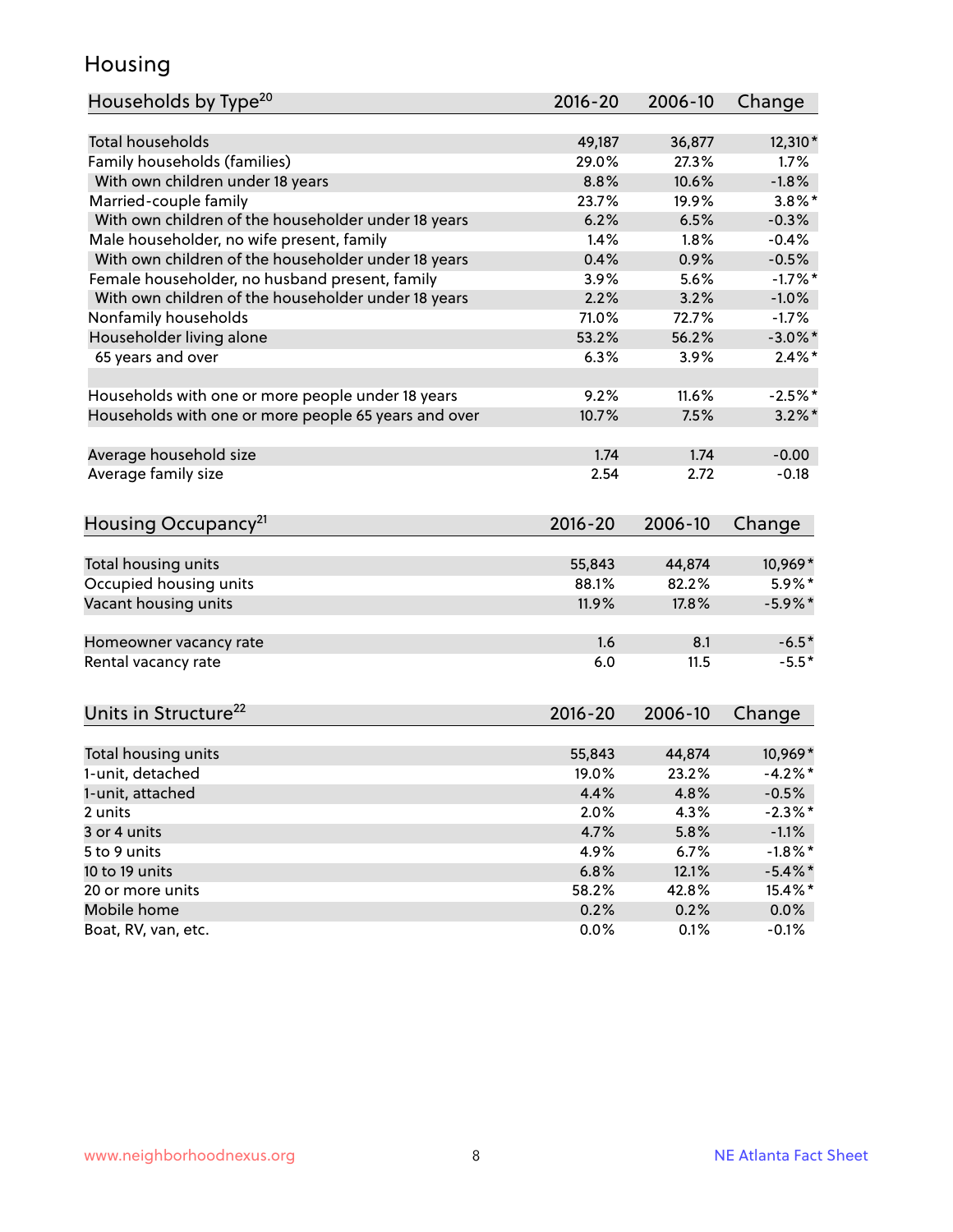#### Housing

| Households by Type <sup>20</sup>                     | 2016-20     | 2006-10 | Change     |
|------------------------------------------------------|-------------|---------|------------|
|                                                      |             |         |            |
| <b>Total households</b>                              | 49,187      | 36,877  | 12,310*    |
| Family households (families)                         | 29.0%       | 27.3%   | 1.7%       |
| With own children under 18 years                     | 8.8%        | 10.6%   | $-1.8%$    |
| Married-couple family                                | 23.7%       | 19.9%   | $3.8\%$ *  |
| With own children of the householder under 18 years  | 6.2%        | 6.5%    | $-0.3%$    |
| Male householder, no wife present, family            | 1.4%        | 1.8%    | $-0.4%$    |
| With own children of the householder under 18 years  | 0.4%        | 0.9%    | $-0.5%$    |
| Female householder, no husband present, family       | 3.9%        | 5.6%    | $-1.7%$ *  |
| With own children of the householder under 18 years  | 2.2%        | 3.2%    | $-1.0%$    |
| Nonfamily households                                 | 71.0%       | 72.7%   | $-1.7%$    |
| Householder living alone                             | 53.2%       | 56.2%   | $-3.0\%$ * |
| 65 years and over                                    | 6.3%        | 3.9%    | $2.4\%$ *  |
|                                                      |             |         |            |
| Households with one or more people under 18 years    | 9.2%        | 11.6%   | $-2.5%$ *  |
| Households with one or more people 65 years and over | 10.7%       | 7.5%    | $3.2\%$ *  |
|                                                      |             |         |            |
| Average household size                               | 1.74        | 1.74    | $-0.00$    |
| Average family size                                  | 2.54        | 2.72    | $-0.18$    |
|                                                      |             |         |            |
| Housing Occupancy <sup>21</sup>                      | 2016-20     | 2006-10 | Change     |
|                                                      |             |         |            |
| Total housing units                                  | 55,843      | 44,874  | 10,969*    |
| Occupied housing units                               | 88.1%       | 82.2%   | 5.9%*      |
| Vacant housing units                                 | 11.9%       | 17.8%   | $-5.9\%$ * |
|                                                      |             |         |            |
| Homeowner vacancy rate                               | 1.6         | 8.1     | $-6.5*$    |
| Rental vacancy rate                                  | 6.0         | 11.5    | $-5.5*$    |
|                                                      |             |         |            |
| Units in Structure <sup>22</sup>                     | $2016 - 20$ | 2006-10 |            |
|                                                      |             |         | Change     |
| Total housing units                                  | 55,843      | 44,874  | 10,969*    |
| 1-unit, detached                                     | 19.0%       | 23.2%   | $-4.2%$ *  |
| 1-unit, attached                                     | 4.4%        | 4.8%    | $-0.5%$    |
| 2 units                                              | 2.0%        | 4.3%    | $-2.3\%$ * |
| 3 or 4 units                                         | 4.7%        | 5.8%    | $-1.1%$    |
| 5 to 9 units                                         | 4.9%        | 6.7%    | $-1.8%$ *  |
| 10 to 19 units                                       | 6.8%        | 12.1%   | $-5.4\%$ * |
| 20 or more units                                     | 58.2%       | 42.8%   | 15.4%*     |
| Mobile home                                          | 0.2%        | 0.2%    |            |
|                                                      |             |         | $0.0\%$    |
| Boat, RV, van, etc.                                  | 0.0%        | 0.1%    | $-0.1%$    |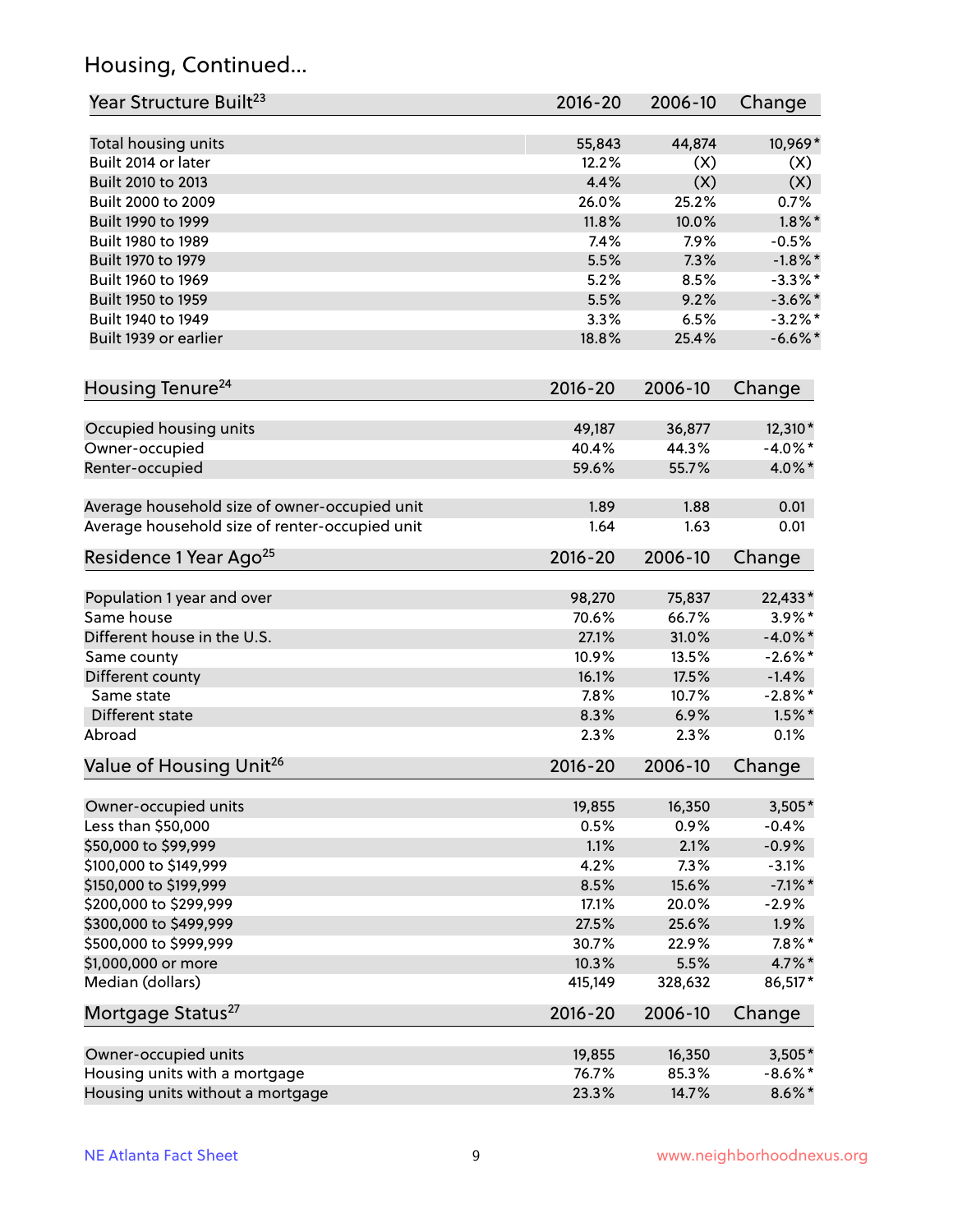# Housing, Continued...

| Year Structure Built <sup>23</sup>             | $2016 - 20$ | 2006-10 | Change     |
|------------------------------------------------|-------------|---------|------------|
| Total housing units                            | 55,843      | 44,874  | 10,969*    |
| Built 2014 or later                            | 12.2%       | (X)     | (X)        |
| Built 2010 to 2013                             | 4.4%        | (X)     | (X)        |
| Built 2000 to 2009                             | 26.0%       | 25.2%   | 0.7%       |
| Built 1990 to 1999                             | 11.8%       | 10.0%   | $1.8\%$ *  |
| Built 1980 to 1989                             | 7.4%        | 7.9%    | $-0.5%$    |
| Built 1970 to 1979                             | 5.5%        | 7.3%    | $-1.8\%$ * |
| Built 1960 to 1969                             | 5.2%        | 8.5%    | $-3.3\%$ * |
| Built 1950 to 1959                             | 5.5%        | 9.2%    | $-3.6\%$ * |
| Built 1940 to 1949                             | 3.3%        | 6.5%    | $-3.2\%$ * |
| Built 1939 or earlier                          | 18.8%       | 25.4%   | $-6.6\%$ * |
|                                                |             |         |            |
| Housing Tenure <sup>24</sup>                   | $2016 - 20$ | 2006-10 | Change     |
| Occupied housing units                         | 49,187      | 36,877  | 12,310*    |
| Owner-occupied                                 | 40.4%       | 44.3%   | $-4.0\%$ * |
| Renter-occupied                                | 59.6%       | 55.7%   | 4.0%*      |
|                                                | 1.89        | 1.88    | 0.01       |
| Average household size of owner-occupied unit  |             | 1.63    |            |
| Average household size of renter-occupied unit | 1.64        |         | 0.01       |
| Residence 1 Year Ago <sup>25</sup>             | $2016 - 20$ | 2006-10 | Change     |
| Population 1 year and over                     | 98,270      | 75,837  | 22,433*    |
| Same house                                     | 70.6%       | 66.7%   | $3.9\%$ *  |
| Different house in the U.S.                    | 27.1%       | 31.0%   | $-4.0\%$ * |
| Same county                                    | 10.9%       | 13.5%   | $-2.6\%$ * |
| Different county                               | 16.1%       | 17.5%   | $-1.4%$    |
| Same state                                     | 7.8%        | 10.7%   | $-2.8\%$ * |
| Different state                                | 8.3%        | 6.9%    | $1.5\%$ *  |
| Abroad                                         | 2.3%        | 2.3%    | 0.1%       |
| Value of Housing Unit <sup>26</sup>            | 2016-20     | 2006-10 | Change     |
|                                                |             |         |            |
| Owner-occupied units                           | 19,855      | 16,350  | $3,505*$   |
| Less than \$50,000                             | 0.5%        | 0.9%    | $-0.4%$    |
| \$50,000 to \$99,999                           | 1.1%        | 2.1%    | $-0.9%$    |
| \$100,000 to \$149,999                         | 4.2%        | 7.3%    | $-3.1%$    |
| \$150,000 to \$199,999                         | 8.5%        | 15.6%   | $-7.1\%$ * |
| \$200,000 to \$299,999                         | 17.1%       | 20.0%   | $-2.9%$    |
| \$300,000 to \$499,999                         | 27.5%       | 25.6%   | 1.9%       |
| \$500,000 to \$999,999                         | 30.7%       | 22.9%   | $7.8\%$ *  |
| \$1,000,000 or more                            | 10.3%       | 5.5%    | 4.7%*      |
| Median (dollars)                               | 415,149     | 328,632 | 86,517*    |
| Mortgage Status <sup>27</sup>                  | $2016 - 20$ | 2006-10 | Change     |
| Owner-occupied units                           | 19,855      | 16,350  | $3,505*$   |
| Housing units with a mortgage                  | 76.7%       | 85.3%   | $-8.6\%$ * |
| Housing units without a mortgage               | 23.3%       | 14.7%   | $8.6\% *$  |
|                                                |             |         |            |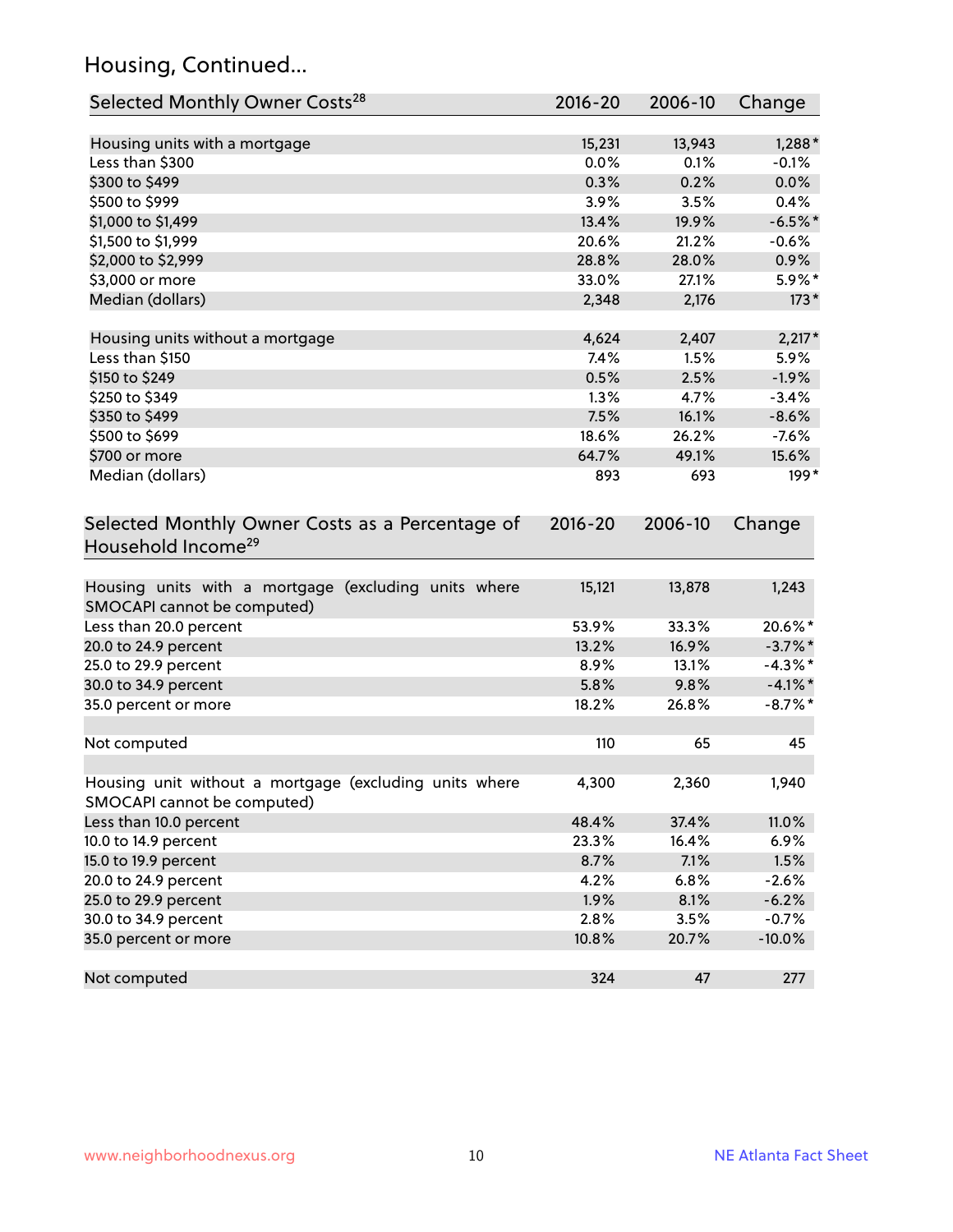# Housing, Continued...

| Selected Monthly Owner Costs <sup>28</sup>                                            | 2016-20     | 2006-10 | Change     |
|---------------------------------------------------------------------------------------|-------------|---------|------------|
| Housing units with a mortgage                                                         | 15,231      | 13,943  | $1,288*$   |
| Less than \$300                                                                       | 0.0%        | 0.1%    | $-0.1%$    |
| \$300 to \$499                                                                        | 0.3%        | 0.2%    | 0.0%       |
| \$500 to \$999                                                                        | 3.9%        | 3.5%    | 0.4%       |
| \$1,000 to \$1,499                                                                    | 13.4%       | 19.9%   | $-6.5%$ *  |
| \$1,500 to \$1,999                                                                    | 20.6%       | 21.2%   | $-0.6%$    |
| \$2,000 to \$2,999                                                                    | 28.8%       | 28.0%   | 0.9%       |
| \$3,000 or more                                                                       | 33.0%       | 27.1%   | 5.9%*      |
| Median (dollars)                                                                      | 2,348       | 2,176   | $173*$     |
| Housing units without a mortgage                                                      | 4,624       | 2,407   | $2,217*$   |
| Less than \$150                                                                       | 7.4%        | 1.5%    | 5.9%       |
| \$150 to \$249                                                                        | 0.5%        | 2.5%    | $-1.9%$    |
| \$250 to \$349                                                                        | 1.3%        | 4.7%    | $-3.4%$    |
| \$350 to \$499                                                                        | 7.5%        | 16.1%   | $-8.6%$    |
| \$500 to \$699                                                                        | 18.6%       | 26.2%   | $-7.6%$    |
| \$700 or more                                                                         | 64.7%       | 49.1%   | 15.6%      |
| Median (dollars)                                                                      | 893         | 693     | $199*$     |
| Selected Monthly Owner Costs as a Percentage of<br>Household Income <sup>29</sup>     | $2016 - 20$ | 2006-10 | Change     |
| Housing units with a mortgage (excluding units where<br>SMOCAPI cannot be computed)   | 15,121      | 13,878  | 1,243      |
| Less than 20.0 percent                                                                | 53.9%       | 33.3%   | 20.6%*     |
| 20.0 to 24.9 percent                                                                  | 13.2%       | 16.9%   | $-3.7\%$ * |
| 25.0 to 29.9 percent                                                                  | 8.9%        | 13.1%   | $-4.3\%$ * |
| 30.0 to 34.9 percent                                                                  | 5.8%        | 9.8%    | $-4.1\%$ * |
| 35.0 percent or more                                                                  | 18.2%       | 26.8%   | $-8.7\%$ * |
| Not computed                                                                          | 110         | 65      | 45         |
| Housing unit without a mortgage (excluding units where<br>SMOCAPI cannot be computed) | 4,300       | 2,360   | 1,940      |
| Less than 10.0 percent                                                                | 48.4%       | 37.4%   | 11.0%      |
| 10.0 to 14.9 percent                                                                  | 23.3%       | 16.4%   | 6.9%       |
| 15.0 to 19.9 percent                                                                  | 8.7%        | 7.1%    | 1.5%       |
| 20.0 to 24.9 percent                                                                  | 4.2%        | 6.8%    | $-2.6%$    |
| 25.0 to 29.9 percent                                                                  | 1.9%        | 8.1%    | $-6.2%$    |
| 30.0 to 34.9 percent                                                                  | 2.8%        | 3.5%    | $-0.7%$    |
| 35.0 percent or more                                                                  | 10.8%       | 20.7%   | $-10.0%$   |
| Not computed                                                                          | 324         | 47      | 277        |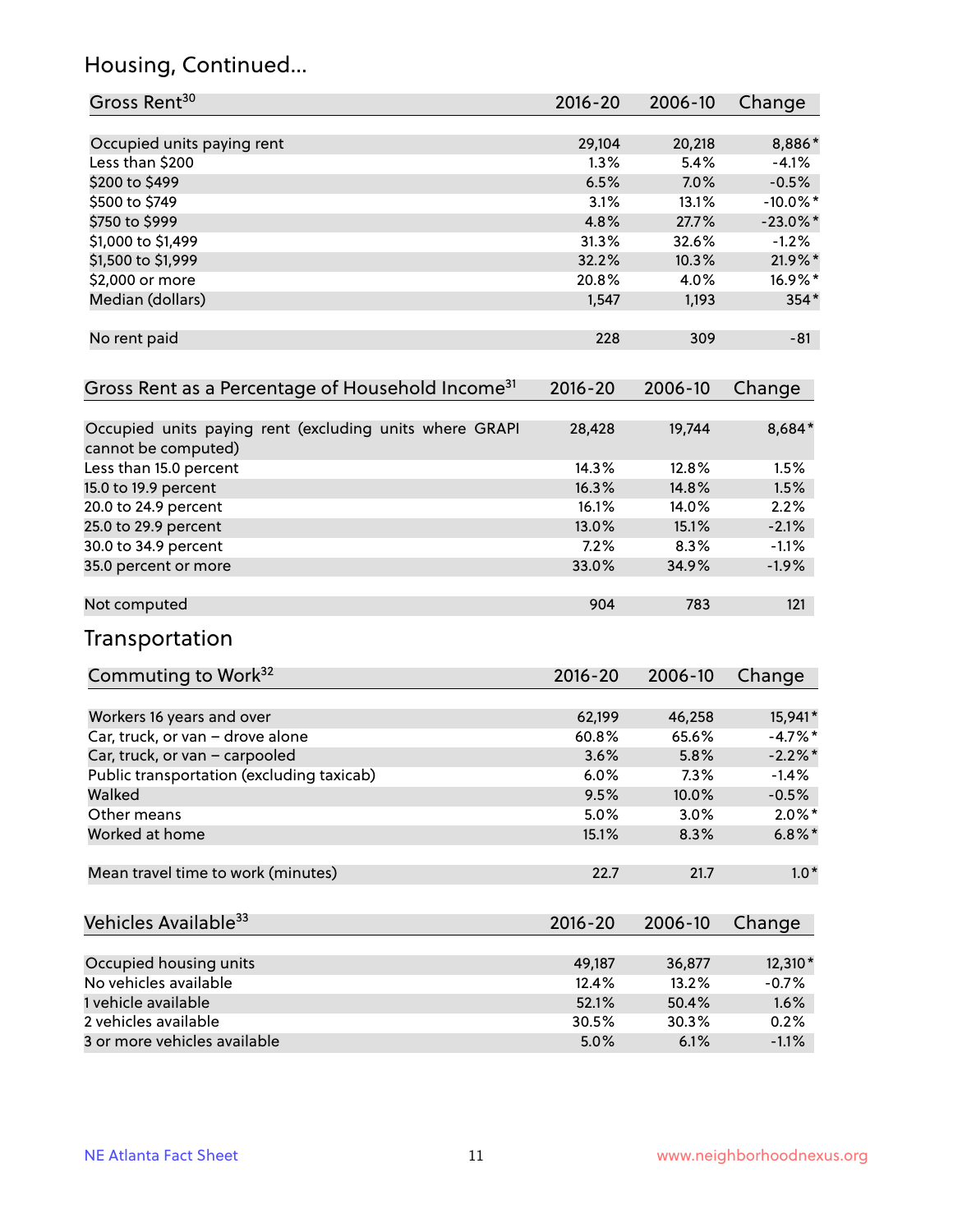# Housing, Continued...

| Gross Rent <sup>30</sup>                                                       | 2016-20     | 2006-10 | Change      |
|--------------------------------------------------------------------------------|-------------|---------|-------------|
| Occupied units paying rent                                                     | 29,104      | 20,218  | 8,886*      |
| Less than \$200                                                                | 1.3%        | 5.4%    | $-4.1%$     |
| \$200 to \$499                                                                 | 6.5%        | 7.0%    | $-0.5%$     |
| \$500 to \$749                                                                 | 3.1%        | 13.1%   | $-10.0\%$ * |
| \$750 to \$999                                                                 | 4.8%        | 27.7%   | $-23.0\%$ * |
| \$1,000 to \$1,499                                                             | 31.3%       | 32.6%   | $-1.2%$     |
| \$1,500 to \$1,999                                                             | 32.2%       | 10.3%   | 21.9%*      |
| \$2,000 or more                                                                | 20.8%       | 4.0%    | 16.9%*      |
| Median (dollars)                                                               | 1,547       | 1,193   | $354*$      |
| No rent paid                                                                   | 228         | 309     | $-81$       |
| Gross Rent as a Percentage of Household Income <sup>31</sup>                   | $2016 - 20$ | 2006-10 | Change      |
| Occupied units paying rent (excluding units where GRAPI<br>cannot be computed) | 28,428      | 19,744  | 8,684*      |
| Less than 15.0 percent                                                         | 14.3%       | 12.8%   | 1.5%        |
| 15.0 to 19.9 percent                                                           | 16.3%       | 14.8%   | 1.5%        |
| 20.0 to 24.9 percent                                                           | 16.1%       | 14.0%   | 2.2%        |
| 25.0 to 29.9 percent                                                           | 13.0%       | 15.1%   | $-2.1%$     |
| 30.0 to 34.9 percent                                                           | 7.2%        | 8.3%    | $-1.1%$     |
| 35.0 percent or more                                                           | 33.0%       | 34.9%   | $-1.9%$     |
| Not computed                                                                   | 904         | 783     | 121         |
| Transportation                                                                 |             |         |             |
| Commuting to Work <sup>32</sup>                                                | 2016-20     | 2006-10 | Change      |
| Workers 16 years and over                                                      | 62,199      | 46,258  | 15,941*     |
| Car, truck, or van - drove alone                                               | 60.8%       | 65.6%   | $-4.7%$ *   |
| Car, truck, or van - carpooled                                                 | 3.6%        | 5.8%    | $-2.2%$ *   |
| Public transportation (excluding taxicab)                                      | 6.0%        | 7.3%    | $-1.4%$     |
| Walked                                                                         | 9.5%        | 10.0%   | $-0.5%$     |
| Other means                                                                    | 5.0%        | 3.0%    | $2.0\%$ *   |
| Worked at home                                                                 | 15.1%       | 8.3%    | $6.8\%$ *   |
| Mean travel time to work (minutes)                                             | 22.7        | 21.7    | $1.0*$      |
| Vehicles Available <sup>33</sup>                                               | 2016-20     | 2006-10 | Change      |
| Occupied housing units                                                         | 49,187      | 36,877  | 12,310*     |
| No vehicles available                                                          | 12.4%       | 13.2%   | $-0.7%$     |
| 1 vehicle available                                                            | 52.1%       | 50.4%   | 1.6%        |
| 2 vehicles available                                                           | 30.5%       | 30.3%   | 0.2%        |
| 3 or more vehicles available                                                   | 5.0%        | 6.1%    | $-1.1%$     |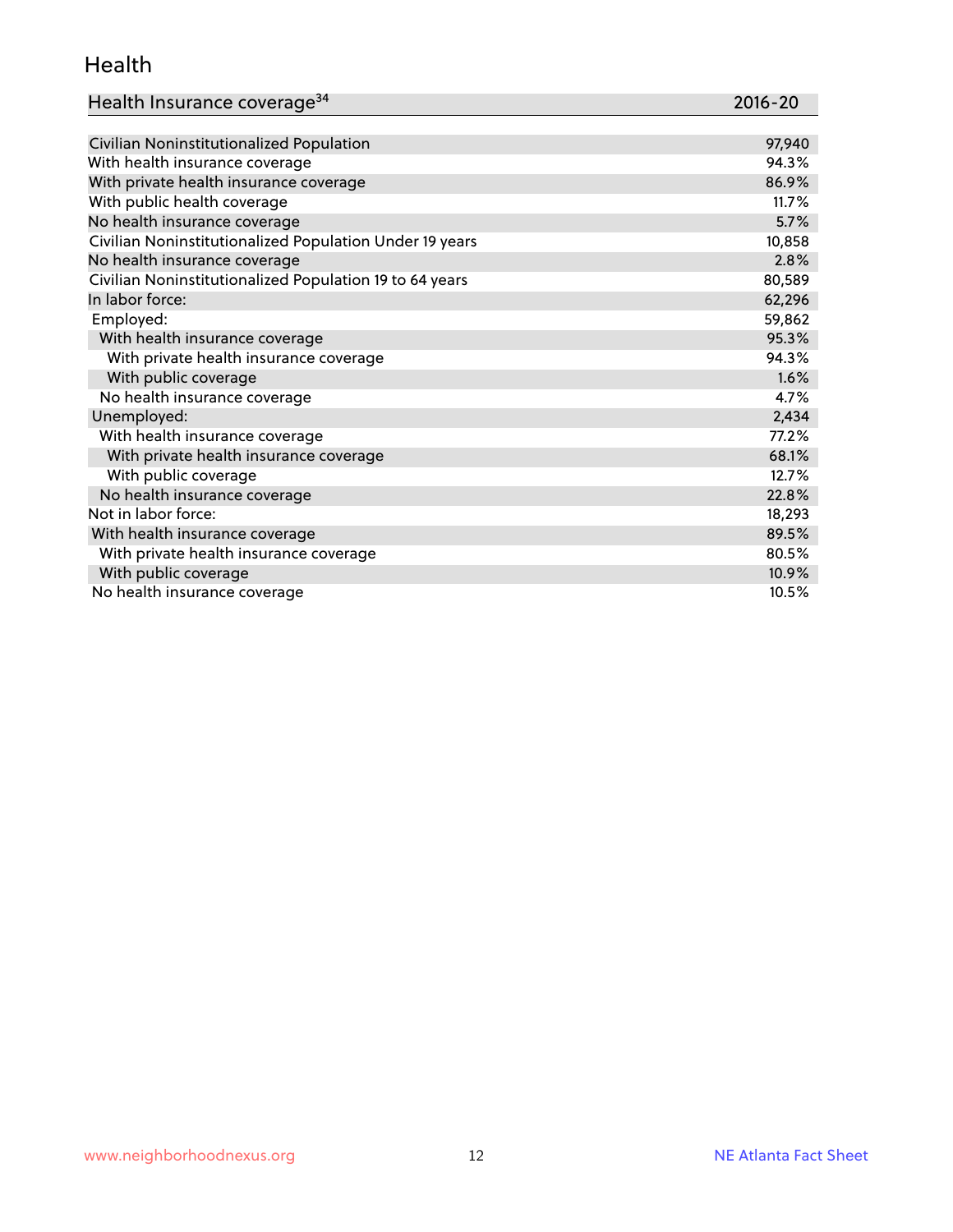#### Health

| Health Insurance coverage <sup>34</sup> | 2016-20 |
|-----------------------------------------|---------|
|                                         |         |

| Civilian Noninstitutionalized Population                | 97,940 |
|---------------------------------------------------------|--------|
| With health insurance coverage                          | 94.3%  |
| With private health insurance coverage                  | 86.9%  |
| With public health coverage                             | 11.7%  |
| No health insurance coverage                            | 5.7%   |
| Civilian Noninstitutionalized Population Under 19 years | 10,858 |
| No health insurance coverage                            | 2.8%   |
| Civilian Noninstitutionalized Population 19 to 64 years | 80,589 |
| In labor force:                                         | 62,296 |
| Employed:                                               | 59,862 |
| With health insurance coverage                          | 95.3%  |
| With private health insurance coverage                  | 94.3%  |
| With public coverage                                    | 1.6%   |
| No health insurance coverage                            | 4.7%   |
| Unemployed:                                             | 2,434  |
| With health insurance coverage                          | 77.2%  |
| With private health insurance coverage                  | 68.1%  |
| With public coverage                                    | 12.7%  |
| No health insurance coverage                            | 22.8%  |
| Not in labor force:                                     | 18,293 |
| With health insurance coverage                          | 89.5%  |
| With private health insurance coverage                  | 80.5%  |
| With public coverage                                    | 10.9%  |
| No health insurance coverage                            | 10.5%  |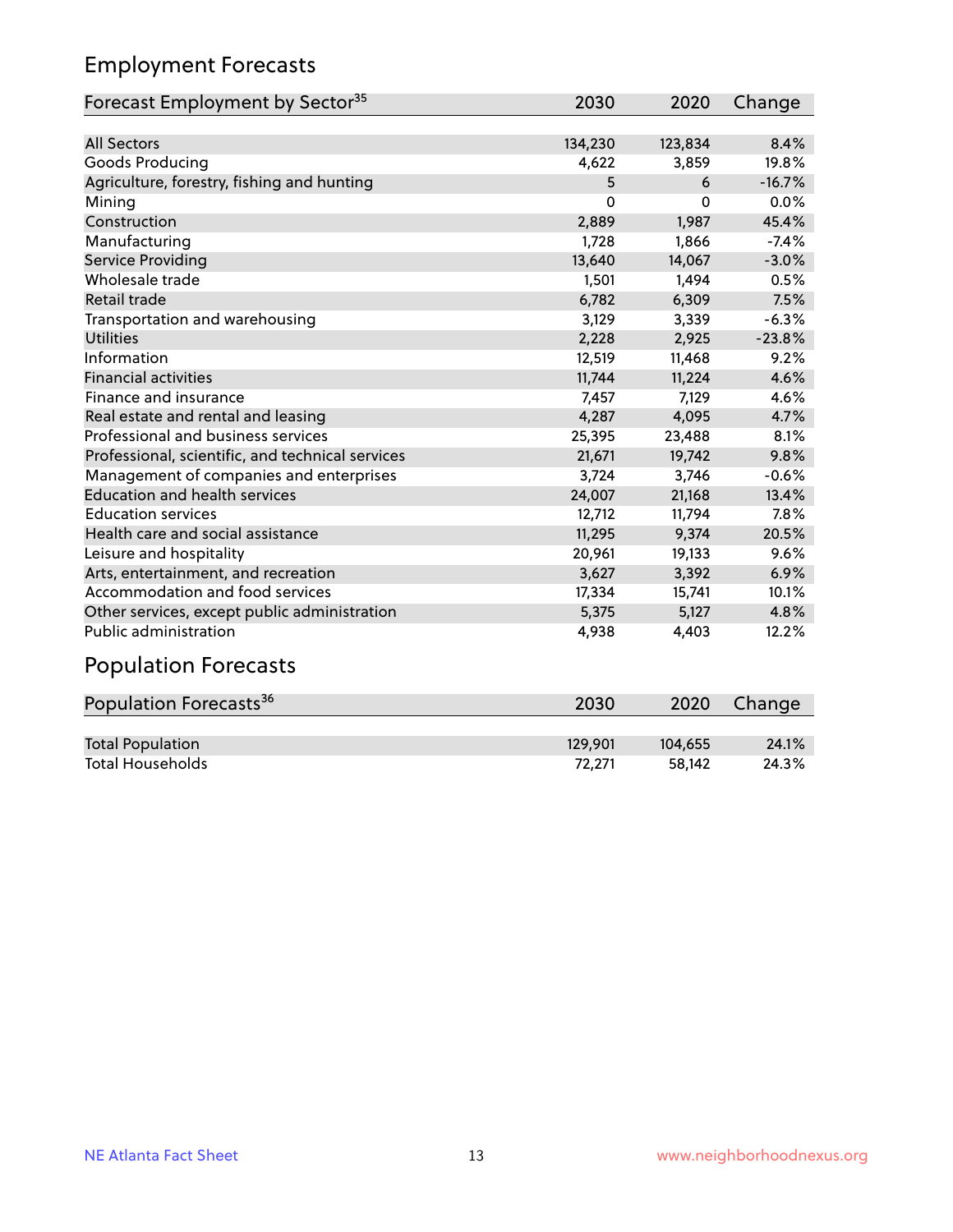# Employment Forecasts

| Forecast Employment by Sector <sup>35</sup>      | 2030    | 2020    | Change   |
|--------------------------------------------------|---------|---------|----------|
|                                                  |         |         |          |
| <b>All Sectors</b>                               | 134,230 | 123,834 | 8.4%     |
| Goods Producing                                  | 4,622   | 3,859   | 19.8%    |
| Agriculture, forestry, fishing and hunting       | 5       | 6       | $-16.7%$ |
| Mining                                           | 0       | 0       | 0.0%     |
| Construction                                     | 2,889   | 1,987   | 45.4%    |
| Manufacturing                                    | 1,728   | 1,866   | $-7.4%$  |
| Service Providing                                | 13,640  | 14,067  | $-3.0%$  |
| Wholesale trade                                  | 1,501   | 1,494   | 0.5%     |
| Retail trade                                     | 6,782   | 6,309   | 7.5%     |
| Transportation and warehousing                   | 3,129   | 3,339   | $-6.3%$  |
| <b>Utilities</b>                                 | 2,228   | 2,925   | $-23.8%$ |
| Information                                      | 12,519  | 11,468  | 9.2%     |
| <b>Financial activities</b>                      | 11,744  | 11,224  | 4.6%     |
| Finance and insurance                            | 7,457   | 7,129   | 4.6%     |
| Real estate and rental and leasing               | 4,287   | 4,095   | 4.7%     |
| Professional and business services               | 25,395  | 23,488  | 8.1%     |
| Professional, scientific, and technical services | 21,671  | 19,742  | 9.8%     |
| Management of companies and enterprises          | 3,724   | 3,746   | $-0.6%$  |
| <b>Education and health services</b>             | 24,007  | 21,168  | 13.4%    |
| <b>Education services</b>                        | 12,712  | 11,794  | 7.8%     |
| Health care and social assistance                | 11,295  | 9,374   | 20.5%    |
| Leisure and hospitality                          | 20,961  | 19,133  | 9.6%     |
| Arts, entertainment, and recreation              | 3,627   | 3,392   | 6.9%     |
| Accommodation and food services                  | 17,334  | 15,741  | 10.1%    |
| Other services, except public administration     | 5,375   | 5,127   | 4.8%     |
| Public administration                            | 4,938   | 4,403   | 12.2%    |
|                                                  |         |         |          |

#### Population Forecasts

| Population Forecasts <sup>36</sup> | 2030    | 2020    | Change |
|------------------------------------|---------|---------|--------|
|                                    |         |         |        |
| <b>Total Population</b>            | 129.901 | 104.655 | 24.1%  |
| <b>Total Households</b>            | 72.271  | 58.142  | 24.3%  |